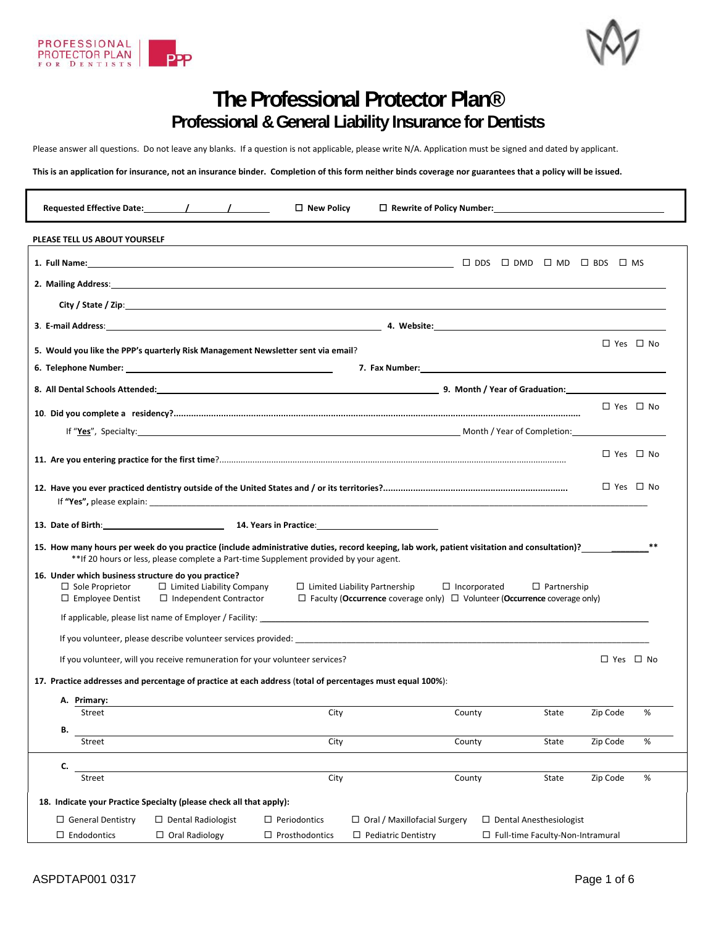



# **The Professional Protector Plan® Professional & General Liability Insurance for Dentists**

Please answer all questions. Do not leave any blanks. If a question is not applicable, please write N/A. Application must be signed and dated by applicant.

This is an application for insurance, not an insurance binder. Completion of this form neither binds coverage nor guarantees that a policy will be issued.

|                                                                                                                                                                                                                                | Requested Effective Date: 1 1 1                                                       | $\Box$ New Policy                            |                                                                                                                                                                                                                                |                                                                      |                      |                      |
|--------------------------------------------------------------------------------------------------------------------------------------------------------------------------------------------------------------------------------|---------------------------------------------------------------------------------------|----------------------------------------------|--------------------------------------------------------------------------------------------------------------------------------------------------------------------------------------------------------------------------------|----------------------------------------------------------------------|----------------------|----------------------|
| PLEASE TELL US ABOUT YOURSELF                                                                                                                                                                                                  |                                                                                       |                                              |                                                                                                                                                                                                                                |                                                                      |                      |                      |
|                                                                                                                                                                                                                                |                                                                                       |                                              |                                                                                                                                                                                                                                |                                                                      |                      |                      |
|                                                                                                                                                                                                                                |                                                                                       |                                              |                                                                                                                                                                                                                                |                                                                      |                      |                      |
|                                                                                                                                                                                                                                |                                                                                       |                                              |                                                                                                                                                                                                                                |                                                                      |                      |                      |
|                                                                                                                                                                                                                                |                                                                                       |                                              | 3. E-mail Address: and the contract of the contract of the contract of the contract of the contract of the contract of the contract of the contract of the contract of the contract of the contract of the contract of the con |                                                                      |                      |                      |
| 5. Would you like the PPP's quarterly Risk Management Newsletter sent via email?                                                                                                                                               |                                                                                       |                                              |                                                                                                                                                                                                                                |                                                                      |                      | $\Box$ Yes $\Box$ No |
|                                                                                                                                                                                                                                |                                                                                       |                                              |                                                                                                                                                                                                                                |                                                                      |                      |                      |
|                                                                                                                                                                                                                                |                                                                                       |                                              |                                                                                                                                                                                                                                |                                                                      |                      |                      |
|                                                                                                                                                                                                                                |                                                                                       |                                              |                                                                                                                                                                                                                                |                                                                      | $\Box$ Yes $\Box$ No |                      |
|                                                                                                                                                                                                                                |                                                                                       |                                              | If "Yes", Specialty: example to the completion: Enterprise of Completion: Enterprise of Completion:                                                                                                                            |                                                                      |                      |                      |
|                                                                                                                                                                                                                                |                                                                                       |                                              |                                                                                                                                                                                                                                |                                                                      | $\Box$ Yes $\Box$ No |                      |
|                                                                                                                                                                                                                                |                                                                                       |                                              |                                                                                                                                                                                                                                |                                                                      |                      |                      |
|                                                                                                                                                                                                                                |                                                                                       |                                              |                                                                                                                                                                                                                                |                                                                      | □ Yes □ No           |                      |
|                                                                                                                                                                                                                                |                                                                                       |                                              |                                                                                                                                                                                                                                |                                                                      |                      |                      |
| 13. Date of Birth: 19. The Common Common Common Common Common Common Common Common Common Common Common Common Common Common Common Common Common Common Common Common Common Common Common Common Common Common Common Common |                                                                                       |                                              |                                                                                                                                                                                                                                |                                                                      |                      |                      |
|                                                                                                                                                                                                                                | **If 20 hours or less, please complete a Part-time Supplement provided by your agent. |                                              | 15. How many hours per week do you practice (include administrative duties, record keeping, lab work, patient visitation and consultation)?                                                                                    |                                                                      |                      |                      |
| 16. Under which business structure do you practice?<br>$\Box$ Sole Proprietor<br>$\Box$ Employee Dentist                                                                                                                       | $\Box$ Limited Liability Company<br>$\Box$ Independent Contractor                     |                                              | $\Box$ Limited Liability Partnership<br>$\Box$ Faculty (Occurrence coverage only) $\Box$ Volunteer (Occurrence coverage only)                                                                                                  | $\Box$ Incorporated<br>$\Box$ Partnership                            |                      |                      |
|                                                                                                                                                                                                                                |                                                                                       |                                              |                                                                                                                                                                                                                                |                                                                      |                      |                      |
|                                                                                                                                                                                                                                |                                                                                       |                                              | If you volunteer, please describe volunteer services provided: example and an array of the service of the service of the services provided:                                                                                    |                                                                      |                      |                      |
|                                                                                                                                                                                                                                | If you volunteer, will you receive remuneration for your volunteer services?          |                                              |                                                                                                                                                                                                                                |                                                                      | $\Box$ Yes $\Box$ No |                      |
| 17. Practice addresses and percentage of practice at each address (total of percentages must equal 100%):                                                                                                                      |                                                                                       |                                              |                                                                                                                                                                                                                                |                                                                      |                      |                      |
| A. Primary:                                                                                                                                                                                                                    |                                                                                       |                                              |                                                                                                                                                                                                                                |                                                                      |                      |                      |
| Street                                                                                                                                                                                                                         |                                                                                       | City                                         | County                                                                                                                                                                                                                         | State                                                                | Zip Code             | %                    |
| В.<br><b>Street</b>                                                                                                                                                                                                            |                                                                                       | City                                         |                                                                                                                                                                                                                                |                                                                      |                      | %                    |
|                                                                                                                                                                                                                                |                                                                                       |                                              | County                                                                                                                                                                                                                         | State                                                                | Zip Code             |                      |
| C.<br>Street                                                                                                                                                                                                                   |                                                                                       | City                                         | County                                                                                                                                                                                                                         | State                                                                | Zip Code             | %                    |
|                                                                                                                                                                                                                                |                                                                                       |                                              |                                                                                                                                                                                                                                |                                                                      |                      |                      |
| 18. Indicate your Practice Specialty (please check all that apply):                                                                                                                                                            |                                                                                       |                                              |                                                                                                                                                                                                                                |                                                                      |                      |                      |
| $\Box$ General Dentistry<br>$\Box$ Endodontics                                                                                                                                                                                 | $\Box$ Dental Radiologist<br>$\Box$ Oral Radiology                                    | $\Box$ Periodontics<br>$\Box$ Prosthodontics | $\Box$ Oral / Maxillofacial Surgery<br>$\Box$ Pediatric Dentistry                                                                                                                                                              | $\Box$ Dental Anesthesiologist<br>□ Full-time Faculty-Non-Intramural |                      |                      |
|                                                                                                                                                                                                                                |                                                                                       |                                              |                                                                                                                                                                                                                                |                                                                      |                      |                      |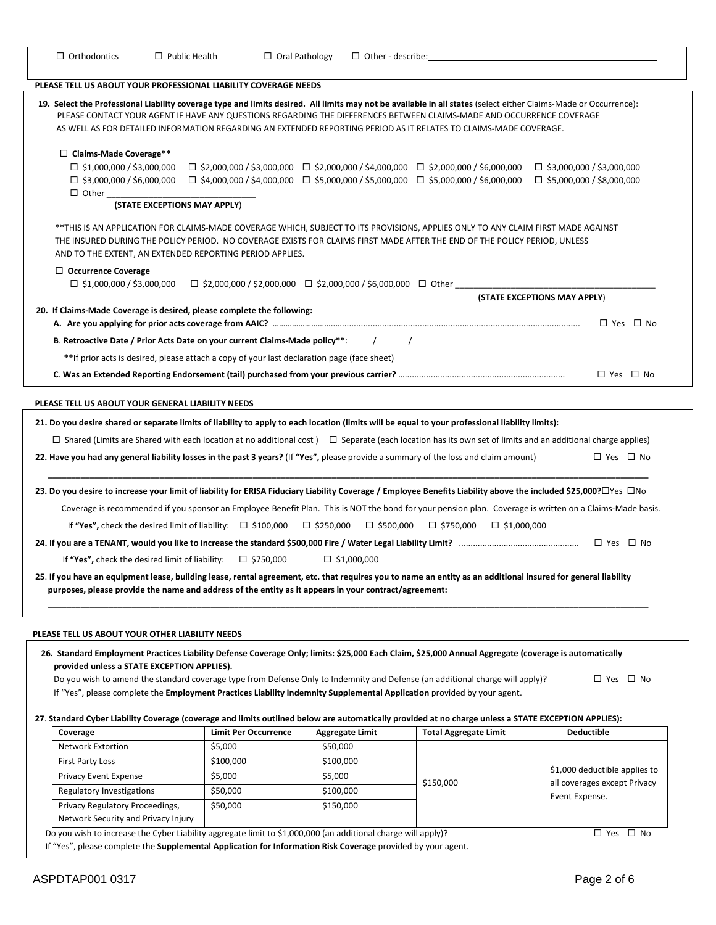| $\Box$ Orthodontics<br>$\Box$ Public Health                                                                                                                                                                                                                                                                                                                                                                                                                                                                                                                                                                                                                                                                                                                                                                                                                                                                                                                                                                                                                    | $\Box$ Oral Pathology                                                          | $\Box$ Other - describe:                     |                                                                                                                                                                                                          |                                                                         |
|----------------------------------------------------------------------------------------------------------------------------------------------------------------------------------------------------------------------------------------------------------------------------------------------------------------------------------------------------------------------------------------------------------------------------------------------------------------------------------------------------------------------------------------------------------------------------------------------------------------------------------------------------------------------------------------------------------------------------------------------------------------------------------------------------------------------------------------------------------------------------------------------------------------------------------------------------------------------------------------------------------------------------------------------------------------|--------------------------------------------------------------------------------|----------------------------------------------|----------------------------------------------------------------------------------------------------------------------------------------------------------------------------------------------------------|-------------------------------------------------------------------------|
| PLEASE TELL US ABOUT YOUR PROFESSIONAL LIABILITY COVERAGE NEEDS                                                                                                                                                                                                                                                                                                                                                                                                                                                                                                                                                                                                                                                                                                                                                                                                                                                                                                                                                                                                |                                                                                |                                              |                                                                                                                                                                                                          |                                                                         |
| 19. Select the Professional Liability coverage type and limits desired. All limits may not be available in all states (select either Claims-Made or Occurrence):<br>PLEASE CONTACT YOUR AGENT IF HAVE ANY QUESTIONS REGARDING THE DIFFERENCES BETWEEN CLAIMS-MADE AND OCCURRENCE COVERAGE<br>AS WELL AS FOR DETAILED INFORMATION REGARDING AN EXTENDED REPORTING PERIOD AS IT RELATES TO CLAIMS-MADE COVERAGE.                                                                                                                                                                                                                                                                                                                                                                                                                                                                                                                                                                                                                                                 |                                                                                |                                              |                                                                                                                                                                                                          |                                                                         |
| $\Box$ Claims-Made Coverage**<br>$\Box$ \$1,000,000 / \$3,000,000<br>$\Box$ \$3,000,000 / \$6,000,000<br>(STATE EXCEPTIONS MAY APPLY)                                                                                                                                                                                                                                                                                                                                                                                                                                                                                                                                                                                                                                                                                                                                                                                                                                                                                                                          |                                                                                |                                              | $\Box$ \$2,000,000 / \$3,000,000 $\Box$ \$2,000,000 / \$4,000,000 $\Box$ \$2,000,000 / \$6,000,000<br>$\Box$ \$4,000,000 / \$4,000,000 $\Box$ \$5,000,000 / \$5,000,000 $\Box$ \$5,000,000 / \$6,000,000 | $\square$ \$3,000,000 / \$3,000,000<br>$\Box$ \$5,000,000 / \$8,000,000 |
| **THIS IS AN APPLICATION FOR CLAIMS-MADE COVERAGE WHICH, SUBJECT TO ITS PROVISIONS, APPLIES ONLY TO ANY CLAIM FIRST MADE AGAINST<br>THE INSURED DURING THE POLICY PERIOD. NO COVERAGE EXISTS FOR CLAIMS FIRST MADE AFTER THE END OF THE POLICY PERIOD, UNLESS<br>AND TO THE EXTENT, AN EXTENDED REPORTING PERIOD APPLIES.                                                                                                                                                                                                                                                                                                                                                                                                                                                                                                                                                                                                                                                                                                                                      |                                                                                |                                              |                                                                                                                                                                                                          |                                                                         |
| $\Box$ Occurrence Coverage                                                                                                                                                                                                                                                                                                                                                                                                                                                                                                                                                                                                                                                                                                                                                                                                                                                                                                                                                                                                                                     |                                                                                |                                              |                                                                                                                                                                                                          |                                                                         |
| $\Box$ \$1,000,000 / \$3,000,000                                                                                                                                                                                                                                                                                                                                                                                                                                                                                                                                                                                                                                                                                                                                                                                                                                                                                                                                                                                                                               | $\Box$ \$2,000,000 / \$2,000,000 $\Box$ \$2,000,000 / \$6,000,000 $\Box$ Other |                                              |                                                                                                                                                                                                          | (STATE EXCEPTIONS MAY APPLY)                                            |
| 20. If Claims-Made Coverage is desired, please complete the following:                                                                                                                                                                                                                                                                                                                                                                                                                                                                                                                                                                                                                                                                                                                                                                                                                                                                                                                                                                                         |                                                                                |                                              |                                                                                                                                                                                                          |                                                                         |
|                                                                                                                                                                                                                                                                                                                                                                                                                                                                                                                                                                                                                                                                                                                                                                                                                                                                                                                                                                                                                                                                |                                                                                |                                              |                                                                                                                                                                                                          | □ Yes □ No                                                              |
| B. Retroactive Date / Prior Acts Date on your current Claims-Made policy**: ________________________/                                                                                                                                                                                                                                                                                                                                                                                                                                                                                                                                                                                                                                                                                                                                                                                                                                                                                                                                                          |                                                                                |                                              |                                                                                                                                                                                                          |                                                                         |
| **If prior acts is desired, please attach a copy of your last declaration page (face sheet)                                                                                                                                                                                                                                                                                                                                                                                                                                                                                                                                                                                                                                                                                                                                                                                                                                                                                                                                                                    |                                                                                |                                              |                                                                                                                                                                                                          |                                                                         |
|                                                                                                                                                                                                                                                                                                                                                                                                                                                                                                                                                                                                                                                                                                                                                                                                                                                                                                                                                                                                                                                                |                                                                                |                                              |                                                                                                                                                                                                          | $\Box$ Yes $\Box$ No                                                    |
| $\Box$ Shared (Limits are Shared with each location at no additional cost) $\Box$ Separate (each location has its own set of limits and an additional charge applies)<br>22. Have you had any general liability losses in the past 3 years? (If "Yes", please provide a summary of the loss and claim amount)<br>23. Do you desire to increase your limit of liability for ERISA Fiduciary Liability Coverage / Employee Benefits Liability above the included \$25,000?□Yes □No<br>Coverage is recommended if you sponsor an Employee Benefit Plan. This is NOT the bond for your pension plan. Coverage is written on a Claims-Made basis.<br>If "Yes", check the desired limit of liability: $\Box$ \$100,000 $\Box$ \$250,000<br>If "Yes", check the desired limit of liability:<br>25. If you have an equipment lease, building lease, rental agreement, etc. that requires you to name an entity as an additional insured for general liability<br>purposes, please provide the name and address of the entity as it appears in your contract/agreement: | $\Box$ \$750,000                                                               | $\square$ \$500,000<br>$\square$ \$1,000,000 | $\Box$ \$750,000 $\Box$ \$1,000,000                                                                                                                                                                      | $\Box$ Yes $\Box$ No                                                    |
| PLEASE TELL US ABOUT YOUR OTHER LIABILITY NEEDS<br>26. Standard Employment Practices Liability Defense Coverage Only; limits: \$25,000 Each Claim, \$25,000 Annual Aggregate (coverage is automatically<br>provided unless a STATE EXCEPTION APPLIES).<br>Do you wish to amend the standard coverage type from Defense Only to Indemnity and Defense (an additional charge will apply)?<br>If "Yes", please complete the Employment Practices Liability Indemnity Supplemental Application provided by your agent.                                                                                                                                                                                                                                                                                                                                                                                                                                                                                                                                             |                                                                                |                                              |                                                                                                                                                                                                          | □ Yes □ No                                                              |
| 27. Standard Cyber Liability Coverage (coverage and limits outlined below are automatically provided at no charge unless a STATE EXCEPTION APPLIES):                                                                                                                                                                                                                                                                                                                                                                                                                                                                                                                                                                                                                                                                                                                                                                                                                                                                                                           |                                                                                |                                              |                                                                                                                                                                                                          |                                                                         |
| Coverage<br>Network Extortion                                                                                                                                                                                                                                                                                                                                                                                                                                                                                                                                                                                                                                                                                                                                                                                                                                                                                                                                                                                                                                  | <b>Limit Per Occurrence</b><br>\$5,000                                         | <b>Aggregate Limit</b><br>\$50,000           | <b>Total Aggregate Limit</b>                                                                                                                                                                             | <b>Deductible</b>                                                       |
| <b>First Party Loss</b>                                                                                                                                                                                                                                                                                                                                                                                                                                                                                                                                                                                                                                                                                                                                                                                                                                                                                                                                                                                                                                        | \$100,000                                                                      | \$100,000                                    |                                                                                                                                                                                                          |                                                                         |
| Privacy Event Expense                                                                                                                                                                                                                                                                                                                                                                                                                                                                                                                                                                                                                                                                                                                                                                                                                                                                                                                                                                                                                                          | \$5,000                                                                        | \$5,000                                      |                                                                                                                                                                                                          | \$1,000 deductible applies to                                           |
| Regulatory Investigations                                                                                                                                                                                                                                                                                                                                                                                                                                                                                                                                                                                                                                                                                                                                                                                                                                                                                                                                                                                                                                      | \$50,000                                                                       | \$100,000                                    | \$150,000                                                                                                                                                                                                | all coverages except Privacy<br>Event Expense.                          |
| Privacy Regulatory Proceedings,<br>Network Security and Privacy Injury                                                                                                                                                                                                                                                                                                                                                                                                                                                                                                                                                                                                                                                                                                                                                                                                                                                                                                                                                                                         | \$50,000                                                                       | \$150,000                                    |                                                                                                                                                                                                          |                                                                         |
| Do you wish to increase the Cyber Liability aggregate limit to \$1,000,000 (an additional charge will apply)?                                                                                                                                                                                                                                                                                                                                                                                                                                                                                                                                                                                                                                                                                                                                                                                                                                                                                                                                                  |                                                                                |                                              |                                                                                                                                                                                                          | □ Yes □ No                                                              |

If "Yes", please complete the **Supplemental Application for Information Risk Coverage** provided by your agent.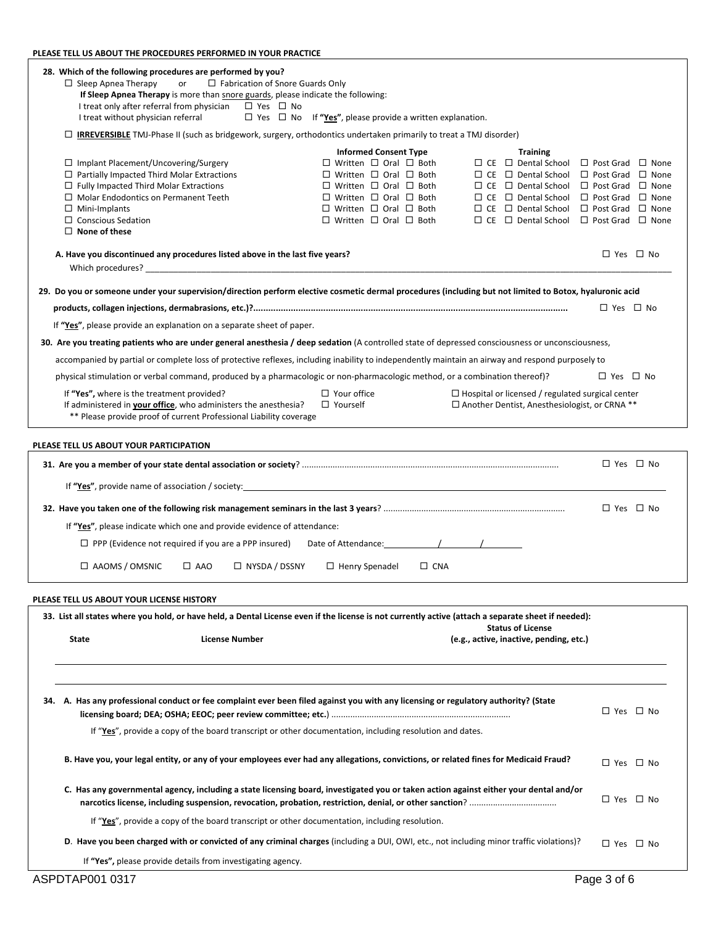### **PLEASE TELL US ABOUT THE PROCEDURES PERFORMED IN YOUR PRACTICE**

| 28. Which of the following procedures are performed by you?<br>$\Box$ Sleep Apnea Therapy<br>or<br>$\Box$ Fabrication of Snore Guards Only<br>If Sleep Apnea Therapy is more than snore guards, please indicate the following:<br>I treat only after referral from physician $\Box$ Yes $\Box$ No |                                                                                                                                                                                                                                                                                          |                                                                                                                                                                                                                                                                                                                                                                                                           |                      |
|---------------------------------------------------------------------------------------------------------------------------------------------------------------------------------------------------------------------------------------------------------------------------------------------------|------------------------------------------------------------------------------------------------------------------------------------------------------------------------------------------------------------------------------------------------------------------------------------------|-----------------------------------------------------------------------------------------------------------------------------------------------------------------------------------------------------------------------------------------------------------------------------------------------------------------------------------------------------------------------------------------------------------|----------------------|
| I treat without physician referral                                                                                                                                                                                                                                                                | $\Box$ Yes $\Box$ No If "Yes", please provide a written explanation.                                                                                                                                                                                                                     |                                                                                                                                                                                                                                                                                                                                                                                                           |                      |
| $\Box$ IRREVERSIBLE TMJ-Phase II (such as bridgework, surgery, orthodontics undertaken primarily to treat a TMJ disorder)                                                                                                                                                                         |                                                                                                                                                                                                                                                                                          |                                                                                                                                                                                                                                                                                                                                                                                                           |                      |
| $\Box$ Implant Placement/Uncovering/Surgery<br>$\Box$ Partially Impacted Third Molar Extractions<br>$\Box$ Fully Impacted Third Molar Extractions<br>$\Box$ Molar Endodontics on Permanent Teeth<br>$\Box$ Mini-Implants<br>$\Box$ Conscious Sedation<br>$\Box$ None of these                     | <b>Informed Consent Type</b><br>$\Box$ Written $\Box$ Oral $\Box$ Both<br>$\Box$ Written $\Box$ Oral $\Box$ Both<br>$\Box$ Written $\Box$ Oral $\Box$ Both<br>$\Box$ Written $\Box$ Oral $\Box$ Both<br>$\Box$ Written $\Box$ Oral $\Box$ Both<br>$\Box$ Written $\Box$ Oral $\Box$ Both | <b>Training</b><br>$\Box$ CE $\Box$ Dental School $\Box$ Post Grad $\Box$ None<br>$\Box$ CE $\Box$ Dental School $\Box$ Post Grad $\Box$ None<br>$\Box$ CE $\Box$ Dental School $\Box$ Post Grad $\Box$ None<br>$\Box$ CE $\Box$ Dental School $\Box$ Post Grad $\Box$ None<br>$\Box$ CE $\Box$ Dental School $\Box$ Post Grad $\Box$ None<br>$\Box$ CE $\Box$ Dental School $\Box$ Post Grad $\Box$ None |                      |
| A. Have you discontinued any procedures listed above in the last five years?                                                                                                                                                                                                                      |                                                                                                                                                                                                                                                                                          |                                                                                                                                                                                                                                                                                                                                                                                                           | $\Box$ Yes $\Box$ No |
| 29. Do you or someone under your supervision/direction perform elective cosmetic dermal procedures (including but not limited to Botox, hyaluronic acid                                                                                                                                           |                                                                                                                                                                                                                                                                                          |                                                                                                                                                                                                                                                                                                                                                                                                           |                      |
|                                                                                                                                                                                                                                                                                                   |                                                                                                                                                                                                                                                                                          |                                                                                                                                                                                                                                                                                                                                                                                                           | □ Yes □ No           |
| If "Yes", please provide an explanation on a separate sheet of paper.                                                                                                                                                                                                                             |                                                                                                                                                                                                                                                                                          |                                                                                                                                                                                                                                                                                                                                                                                                           |                      |
| 30. Are you treating patients who are under general anesthesia / deep sedation (A controlled state of depressed consciousness or unconsciousness,                                                                                                                                                 |                                                                                                                                                                                                                                                                                          |                                                                                                                                                                                                                                                                                                                                                                                                           |                      |
| accompanied by partial or complete loss of protective reflexes, including inability to independently maintain an airway and respond purposely to                                                                                                                                                  |                                                                                                                                                                                                                                                                                          |                                                                                                                                                                                                                                                                                                                                                                                                           |                      |
| physical stimulation or verbal command, produced by a pharmacologic or non-pharmacologic method, or a combination thereof)?                                                                                                                                                                       |                                                                                                                                                                                                                                                                                          |                                                                                                                                                                                                                                                                                                                                                                                                           | $\Box$ Yes $\Box$ No |
| If "Yes", where is the treatment provided?<br>If administered in your office, who administers the anesthesia?<br>** Please provide proof of current Professional Liability coverage                                                                                                               | $\Box$ Your office<br>$\Box$ Yourself                                                                                                                                                                                                                                                    | $\Box$ Hospital or licensed / regulated surgical center<br>$\Box$ Another Dentist, Anesthesiologist, or CRNA **                                                                                                                                                                                                                                                                                           |                      |
| PLEASE TELL US ABOUT YOUR PARTICIPATION                                                                                                                                                                                                                                                           |                                                                                                                                                                                                                                                                                          |                                                                                                                                                                                                                                                                                                                                                                                                           |                      |
|                                                                                                                                                                                                                                                                                                   |                                                                                                                                                                                                                                                                                          |                                                                                                                                                                                                                                                                                                                                                                                                           | $\Box$ Yes $\Box$ No |
|                                                                                                                                                                                                                                                                                                   |                                                                                                                                                                                                                                                                                          |                                                                                                                                                                                                                                                                                                                                                                                                           |                      |
|                                                                                                                                                                                                                                                                                                   |                                                                                                                                                                                                                                                                                          |                                                                                                                                                                                                                                                                                                                                                                                                           | $\Box$ Yes $\Box$ No |
| If "Yes", please indicate which one and provide evidence of attendance:                                                                                                                                                                                                                           |                                                                                                                                                                                                                                                                                          |                                                                                                                                                                                                                                                                                                                                                                                                           |                      |
| $\Box$ PPP (Evidence not required if you are a PPP insured)                                                                                                                                                                                                                                       | Date of Attendance: 1 1                                                                                                                                                                                                                                                                  |                                                                                                                                                                                                                                                                                                                                                                                                           |                      |
| $\Box$ AAOMS / OMSNIC<br>$\Box$ AAO<br>$\Box$ NYSDA / DSSNY                                                                                                                                                                                                                                       | $\Box$ CNA<br>$\Box$ Henry Spenadel                                                                                                                                                                                                                                                      |                                                                                                                                                                                                                                                                                                                                                                                                           |                      |
|                                                                                                                                                                                                                                                                                                   |                                                                                                                                                                                                                                                                                          |                                                                                                                                                                                                                                                                                                                                                                                                           |                      |
| PLEASE TELL US ABOUT YOUR LICENSE HISTORY<br>33. List all states where you hold, or have held, a Dental License even if the license is not currently active (attach a separate sheet if needed):                                                                                                  |                                                                                                                                                                                                                                                                                          |                                                                                                                                                                                                                                                                                                                                                                                                           |                      |
|                                                                                                                                                                                                                                                                                                   |                                                                                                                                                                                                                                                                                          | <b>Status of License</b>                                                                                                                                                                                                                                                                                                                                                                                  |                      |
| <b>License Number</b><br>State                                                                                                                                                                                                                                                                    |                                                                                                                                                                                                                                                                                          | (e.g., active, inactive, pending, etc.)                                                                                                                                                                                                                                                                                                                                                                   |                      |
|                                                                                                                                                                                                                                                                                                   |                                                                                                                                                                                                                                                                                          |                                                                                                                                                                                                                                                                                                                                                                                                           |                      |
|                                                                                                                                                                                                                                                                                                   |                                                                                                                                                                                                                                                                                          |                                                                                                                                                                                                                                                                                                                                                                                                           |                      |
| 34. A. Has any professional conduct or fee complaint ever been filed against you with any licensing or regulatory authority? (State                                                                                                                                                               |                                                                                                                                                                                                                                                                                          |                                                                                                                                                                                                                                                                                                                                                                                                           | □ Yes □ No           |
| If "Yes", provide a copy of the board transcript or other documentation, including resolution and dates.                                                                                                                                                                                          |                                                                                                                                                                                                                                                                                          |                                                                                                                                                                                                                                                                                                                                                                                                           |                      |
| B. Have you, your legal entity, or any of your employees ever had any allegations, convictions, or related fines for Medicaid Fraud?                                                                                                                                                              |                                                                                                                                                                                                                                                                                          |                                                                                                                                                                                                                                                                                                                                                                                                           | □ Yes □ No           |
| C. Has any governmental agency, including a state licensing board, investigated you or taken action against either your dental and/or                                                                                                                                                             |                                                                                                                                                                                                                                                                                          |                                                                                                                                                                                                                                                                                                                                                                                                           | $\Box$ Yes $\Box$ No |
| If "Yes", provide a copy of the board transcript or other documentation, including resolution.                                                                                                                                                                                                    |                                                                                                                                                                                                                                                                                          |                                                                                                                                                                                                                                                                                                                                                                                                           |                      |
| D. Have you been charged with or convicted of any criminal charges (including a DUI, OWI, etc., not including minor traffic violations)?                                                                                                                                                          |                                                                                                                                                                                                                                                                                          |                                                                                                                                                                                                                                                                                                                                                                                                           | $\Box$ Yes $\Box$ No |
| If "Yes", please provide details from investigating agency.                                                                                                                                                                                                                                       |                                                                                                                                                                                                                                                                                          |                                                                                                                                                                                                                                                                                                                                                                                                           |                      |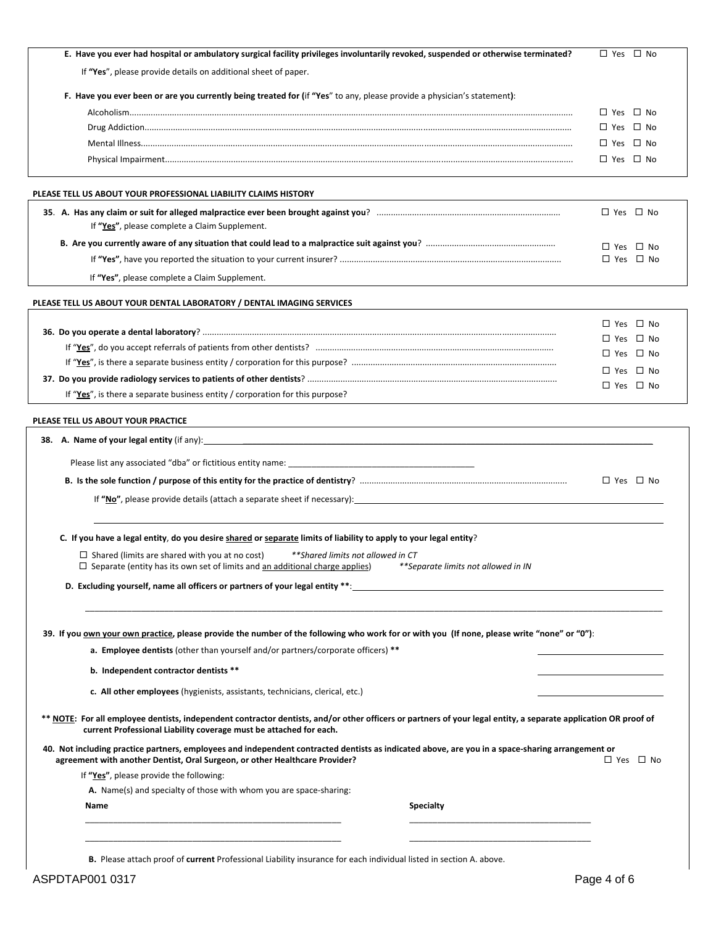| E. Have you ever had hospital or ambulatory surgical facility privileges involuntarily revoked, suspended or otherwise terminated?                                                                                                        | $\Box$ Yes $\Box$ No                         |
|-------------------------------------------------------------------------------------------------------------------------------------------------------------------------------------------------------------------------------------------|----------------------------------------------|
| If "Yes", please provide details on additional sheet of paper.                                                                                                                                                                            |                                              |
| F. Have you ever been or are you currently being treated for (if "Yes" to any, please provide a physician's statement):                                                                                                                   |                                              |
|                                                                                                                                                                                                                                           |                                              |
|                                                                                                                                                                                                                                           | $\Box$ Yes $\Box$ No<br>$\Box$ Yes $\Box$ No |
|                                                                                                                                                                                                                                           | $\Box$ Yes $\Box$ No                         |
|                                                                                                                                                                                                                                           | $\Box$ Yes $\Box$ No                         |
|                                                                                                                                                                                                                                           |                                              |
| PLEASE TELL US ABOUT YOUR PROFESSIONAL LIABILITY CLAIMS HISTORY                                                                                                                                                                           |                                              |
|                                                                                                                                                                                                                                           | $\Box$ Yes $\Box$ No                         |
| If "Yes", please complete a Claim Supplement.                                                                                                                                                                                             |                                              |
|                                                                                                                                                                                                                                           | $\Box$ Yes $\Box$ No                         |
|                                                                                                                                                                                                                                           | $\Box$ Yes $\Box$ No                         |
| If "Yes", please complete a Claim Supplement.                                                                                                                                                                                             |                                              |
| PLEASE TELL US ABOUT YOUR DENTAL LABORATORY / DENTAL IMAGING SERVICES                                                                                                                                                                     |                                              |
|                                                                                                                                                                                                                                           | $\Box$ Yes $\Box$ No                         |
|                                                                                                                                                                                                                                           | $\Box$ Yes $\Box$ No                         |
|                                                                                                                                                                                                                                           | $\Box$ Yes $\Box$ No                         |
|                                                                                                                                                                                                                                           | $\Box$ Yes $\Box$ No                         |
|                                                                                                                                                                                                                                           | $\Box$ Yes $\Box$ No                         |
| If "Yes", is there a separate business entity / corporation for this purpose?                                                                                                                                                             |                                              |
| PLEASE TELL US ABOUT YOUR PRACTICE                                                                                                                                                                                                        |                                              |
| <b>38.</b> A. Name of your legal entity (if any): <b>All any and the set of the set of the set of the set of the set of the set of the set of the set of the set of the set of the set of the set of the set of the set of the set of</b> |                                              |
|                                                                                                                                                                                                                                           |                                              |
|                                                                                                                                                                                                                                           |                                              |
|                                                                                                                                                                                                                                           | □ Yes □ No                                   |
|                                                                                                                                                                                                                                           |                                              |
|                                                                                                                                                                                                                                           |                                              |
| C. If you have a legal entity, do you desire shared or separate limits of liability to apply to your legal entity?                                                                                                                        |                                              |
| $\Box$ Shared (limits are shared with you at no cost)<br>**Shared limits not allowed in CT<br>$\Box$ Separate (entity has its own set of limits and an additional charge applies)<br>**Separate limits not allowed in IN                  |                                              |
|                                                                                                                                                                                                                                           |                                              |
|                                                                                                                                                                                                                                           |                                              |
|                                                                                                                                                                                                                                           |                                              |
| 39. If you own your own practice, please provide the number of the following who work for or with you (If none, please write "none" or "0"):                                                                                              |                                              |
| a. Employee dentists (other than yourself and/or partners/corporate officers) **                                                                                                                                                          |                                              |
| b. Independent contractor dentists **                                                                                                                                                                                                     |                                              |
| c. All other employees (hygienists, assistants, technicians, clerical, etc.)                                                                                                                                                              |                                              |
|                                                                                                                                                                                                                                           |                                              |
| ** NOTE: For all employee dentists, independent contractor dentists, and/or other officers or partners of your legal entity, a separate application OR proof of<br>current Professional Liability coverage must be attached for each.     |                                              |
| 40. Not including practice partners, employees and independent contracted dentists as indicated above, are you in a space-sharing arrangement or<br>agreement with another Dentist, Oral Surgeon, or other Healthcare Provider?           | $\Box$ Yes $\Box$ No                         |
| If "Yes", please provide the following:                                                                                                                                                                                                   |                                              |
| A. Name(s) and specialty of those with whom you are space-sharing:                                                                                                                                                                        |                                              |
| <b>Specialty</b><br>Name                                                                                                                                                                                                                  |                                              |
|                                                                                                                                                                                                                                           |                                              |
|                                                                                                                                                                                                                                           |                                              |
| B. Please attach proof of current Professional Liability insurance for each individual listed in section A. above.                                                                                                                        |                                              |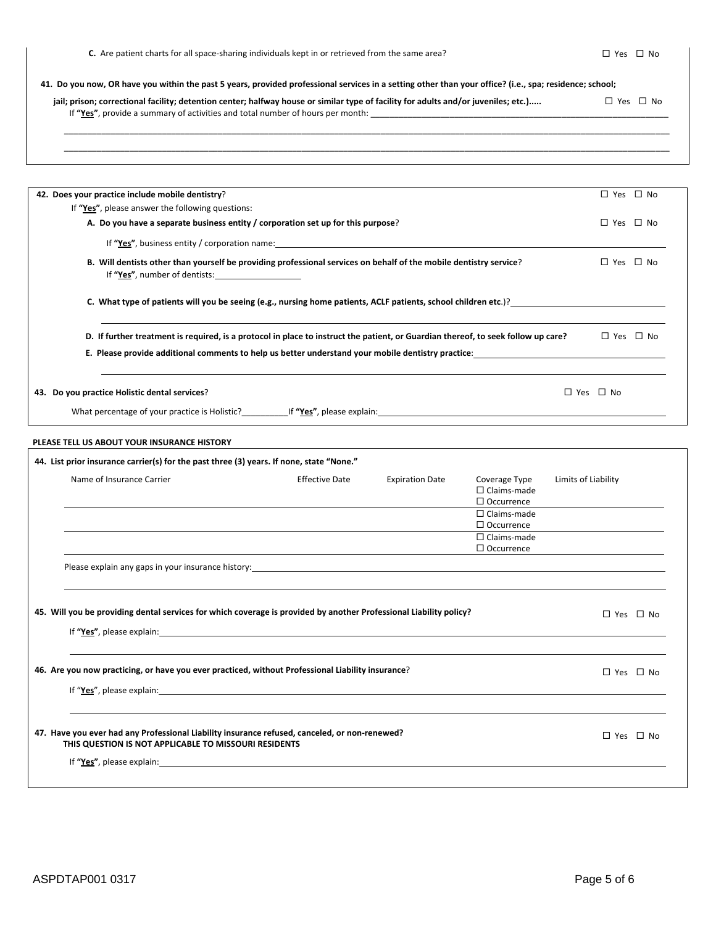## 41. Do you now, OR have you within the past 5 years, provided professional services in a setting other than your office? (i.e., spa; residence; school;

| jail; prison; correctional facility; detention center; halfway house or similar type of facility for adults and/or juveniles; etc.) | $\Box$ Yes $\Box$ No |
|-------------------------------------------------------------------------------------------------------------------------------------|----------------------|
| If "Yes", provide a summary of activities and total number of hours per month:                                                      |                      |
|                                                                                                                                     |                      |
|                                                                                                                                     |                      |

|                           | 42. Does your practice include mobile dentistry? |                                                                                                                                                                                                                                |                        |                                                                                | □ Yes □ No           |
|---------------------------|--------------------------------------------------|--------------------------------------------------------------------------------------------------------------------------------------------------------------------------------------------------------------------------------|------------------------|--------------------------------------------------------------------------------|----------------------|
|                           | If "Yes", please answer the following questions: |                                                                                                                                                                                                                                |                        |                                                                                |                      |
|                           |                                                  | A. Do you have a separate business entity / corporation set up for this purpose?                                                                                                                                               |                        |                                                                                | □ Yes □ No           |
|                           |                                                  | If "Yes", business entity / corporation name: The management of the state of the state of the state of the state of the state of the state of the state of the state of the state of the state of the state of the state of th |                        |                                                                                |                      |
|                           | If "Yes", number of dentists:                    | B. Will dentists other than yourself be providing professional services on behalf of the mobile dentistry service?                                                                                                             |                        |                                                                                | $\Box$ Yes $\Box$ No |
|                           |                                                  | C. What type of patients will you be seeing (e.g., nursing home patients, ACLF patients, school children etc.)?                                                                                                                |                        |                                                                                |                      |
|                           |                                                  | D. If further treatment is required, is a protocol in place to instruct the patient, or Guardian thereof, to seek follow up care?                                                                                              |                        |                                                                                | $\Box$ Yes $\Box$ No |
|                           |                                                  | E. Please provide additional comments to help us better understand your mobile dentistry practice: Letter and the state of the state of the state of the state of the state of the state of the state of the state of the stat |                        |                                                                                |                      |
|                           | 43. Do you practice Holistic dental services?    |                                                                                                                                                                                                                                |                        |                                                                                | □ Yes □ No           |
|                           |                                                  |                                                                                                                                                                                                                                |                        |                                                                                |                      |
|                           |                                                  |                                                                                                                                                                                                                                |                        |                                                                                |                      |
|                           | PLEASE TELL US ABOUT YOUR INSURANCE HISTORY      | 44. List prior insurance carrier(s) for the past three (3) years. If none, state "None."                                                                                                                                       |                        |                                                                                |                      |
| Name of Insurance Carrier |                                                  | <b>Effective Date</b>                                                                                                                                                                                                          | <b>Expiration Date</b> | Coverage Type<br>$\Box$ Claims-made<br>$\Box$ Occurrence<br>$\Box$ Claims-made | Limits of Liability  |
|                           |                                                  |                                                                                                                                                                                                                                |                        | $\Box$ Occurrence<br>$\Box$ Claims-made                                        |                      |
|                           |                                                  | Please explain any gaps in your insurance history: Notifiable and the control of the control of the control of                                                                                                                 |                        | $\Box$ Occurrence                                                              |                      |
|                           |                                                  | 45. Will you be providing dental services for which coverage is provided by another Professional Liability policy?                                                                                                             |                        |                                                                                | □ Yes □ No           |
|                           |                                                  | If "Yes", please explain: The same of the same of the same of the same of the same of the same of the same of the same of the same of the same of the same of the same of the same of the same of the same of the same of the  |                        |                                                                                |                      |
|                           |                                                  | 46. Are you now practicing, or have you ever practiced, without Professional Liability insurance?                                                                                                                              |                        |                                                                                | □ Yes □ No           |
|                           |                                                  | If "Yes", please explain: The same state of the state of the state of the state of the state of the state of the state of the state of the state of the state of the state of the state of the state of the state of the state |                        |                                                                                |                      |
|                           |                                                  |                                                                                                                                                                                                                                |                        |                                                                                |                      |

**THIS QUESTION IS NOT APPLICABLE TO MISSOURI RESIDENTS**

If **"Yes"**, please explain: